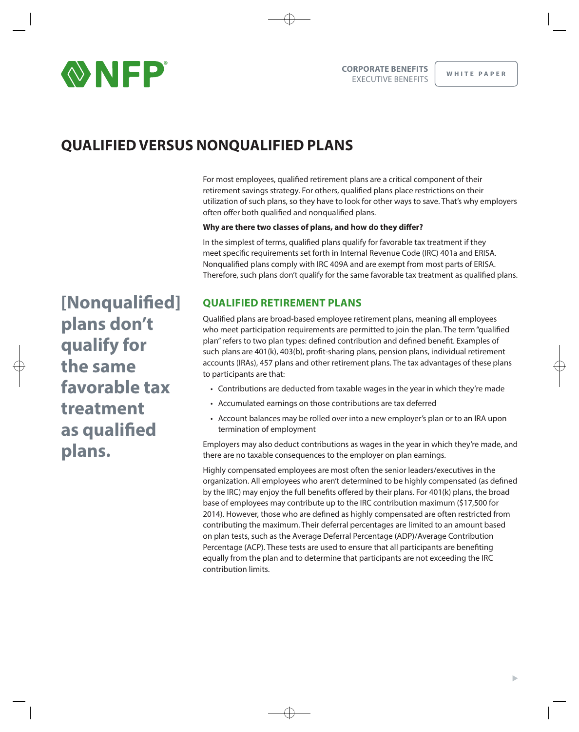

# **QUALIFIED VERSUS NONQUALIFIED PLANS**

For most employees, qualified retirement plans are a critical component of their retirement savings strategy. For others, qualified plans place restrictions on their utilization of such plans, so they have to look for other ways to save. That's why employers often offer both qualified and nonqualified plans.

#### Why are there two classes of plans, and how do they differ?

In the simplest of terms, qualified plans qualify for favorable tax treatment if they meet specific requirements set forth in Internal Revenue Code (IRC) 401a and ERISA. Nonqualified plans comply with IRC 409A and are exempt from most parts of ERISA. Therefore, such plans don't qualify for the same favorable tax treatment as qualified plans.

[Nonqualified] plans don't qualify for the same favorable tax treatment as qualified plans.

## **QUALIFIED RETIREMENT PLANS**

Qualified plans are broad-based employee retirement plans, meaning all employees who meet participation requirements are permitted to join the plan. The term "qualified" plan" refers to two plan types: defined contribution and defined benefit. Examples of such plans are 401(k), 403(b), profit-sharing plans, pension plans, individual retirement accounts (IRAs), 457 plans and other retirement plans. The tax advantages of these plans to participants are that:

- Contributions are deducted from taxable wages in the year in which they're made
- Accumulated earnings on those contributions are tax deferred
- Account balances may be rolled over into a new employer's plan or to an IRA upon termination of employment

Employers may also deduct contributions as wages in the year in which they're made, and there are no taxable consequences to the employer on plan earnings.

Highly compensated employees are most often the senior leaders/executives in the organization. All employees who aren't determined to be highly compensated (as defined by the IRC) may enjoy the full benefits offered by their plans. For 401(k) plans, the broad base of employees may contribute up to the IRC contribution maximum (\$17,500 for 2014). However, those who are defined as highly compensated are often restricted from contributing the maximum. Their deferral percentages are limited to an amount based on plan tests, such as the Average Deferral Percentage (ADP)/Average Contribution Percentage (ACP). These tests are used to ensure that all participants are benefiting equally from the plan and to determine that participants are not exceeding the IRC contribution limits.